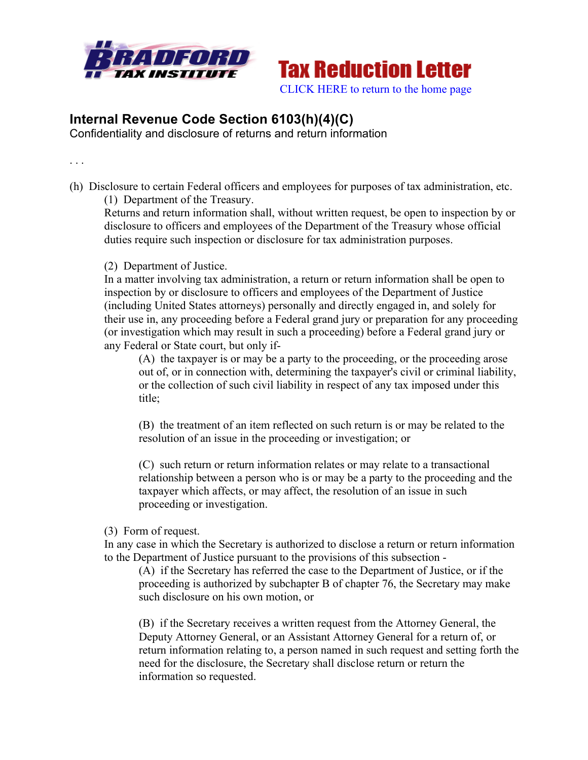



## **Internal Revenue Code Section 6103(h)(4)(C)**

Confidentiality and disclosure of returns and return information

. . .

(h) Disclosure to certain Federal officers and employees for purposes of tax administration, etc. (1) Department of the Treasury.

Returns and return information shall, without written request, be open to inspection by or disclosure to officers and employees of the Department of the Treasury whose official duties require such inspection or disclosure for tax administration purposes.

## (2) Department of Justice.

In a matter involving tax administration, a return or return information shall be open to inspection by or disclosure to officers and employees of the Department of Justice (including United States attorneys) personally and directly engaged in, and solely for their use in, any proceeding before a Federal grand jury or preparation for any proceeding (or investigation which may result in such a proceeding) before a Federal grand jury or any Federal or State court, but only if-

(A) the taxpayer is or may be a party to the proceeding, or the proceeding arose out of, or in connection with, determining the taxpayer's civil or criminal liability, or the collection of such civil liability in respect of any tax imposed under this title;

(B) the treatment of an item reflected on such return is or may be related to the resolution of an issue in the proceeding or investigation; or

(C) such return or return information relates or may relate to a transactional relationship between a person who is or may be a party to the proceeding and the taxpayer which affects, or may affect, the resolution of an issue in such proceeding or investigation.

(3) Form of request.

In any case in which the Secretary is authorized to disclose a return or return information to the Department of Justice pursuant to the provisions of this subsection -

(A) if the Secretary has referred the case to the Department of Justice, or if the proceeding is authorized by subchapter B of chapter 76, the Secretary may make such disclosure on his own motion, or

(B) if the Secretary receives a written request from the Attorney General, the Deputy Attorney General, or an Assistant Attorney General for a return of, or return information relating to, a person named in such request and setting forth the need for the disclosure, the Secretary shall disclose return or return the information so requested.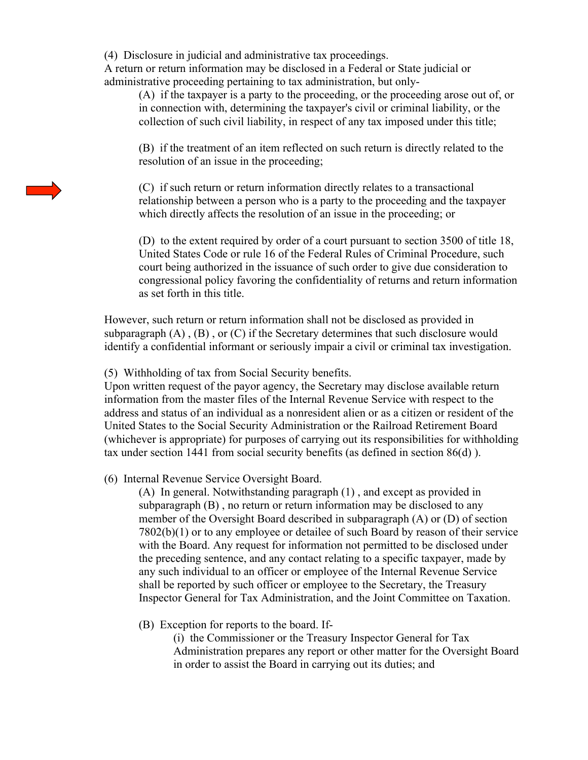(4) Disclosure in judicial and administrative tax proceedings.

A return or return information may be disclosed in a Federal or State judicial or administrative proceeding pertaining to tax administration, but only-

(A) if the taxpayer is a party to the proceeding, or the proceeding arose out of, or in connection with, determining the taxpayer's civil or criminal liability, or the collection of such civil liability, in respect of any tax imposed under this title;

(B) if the treatment of an item reflected on such return is directly related to the resolution of an issue in the proceeding;

(C) if such return or return information directly relates to a transactional relationship between a person who is a party to the proceeding and the taxpayer which directly affects the resolution of an issue in the proceeding; or

(D) to the extent required by order of a court pursuant to section 3500 of title 18, United States Code or rule 16 of the Federal Rules of Criminal Procedure, such court being authorized in the issuance of such order to give due consideration to congressional policy favoring the confidentiality of returns and return information as set forth in this title.

However, such return or return information shall not be disclosed as provided in subparagraph  $(A)$ ,  $(B)$ , or  $(C)$  if the Secretary determines that such disclosure would identify a confidential informant or seriously impair a civil or criminal tax investigation.

(5) Withholding of tax from Social Security benefits.

Upon written request of the payor agency, the Secretary may disclose available return information from the master files of the Internal Revenue Service with respect to the address and status of an individual as a nonresident alien or as a citizen or resident of the United States to the Social Security Administration or the Railroad Retirement Board (whichever is appropriate) for purposes of carrying out its responsibilities for withholding tax under section 1441 from social security benefits (as defined in section 86(d) ).

(6) Internal Revenue Service Oversight Board.

(A) In general. Notwithstanding paragraph (1) , and except as provided in subparagraph (B) , no return or return information may be disclosed to any member of the Oversight Board described in subparagraph (A) or (D) of section 7802(b)(1) or to any employee or detailee of such Board by reason of their service with the Board. Any request for information not permitted to be disclosed under the preceding sentence, and any contact relating to a specific taxpayer, made by any such individual to an officer or employee of the Internal Revenue Service shall be reported by such officer or employee to the Secretary, the Treasury Inspector General for Tax Administration, and the Joint Committee on Taxation.

(B) Exception for reports to the board. If-

(i) the Commissioner or the Treasury Inspector General for Tax Administration prepares any report or other matter for the Oversight Board in order to assist the Board in carrying out its duties; and